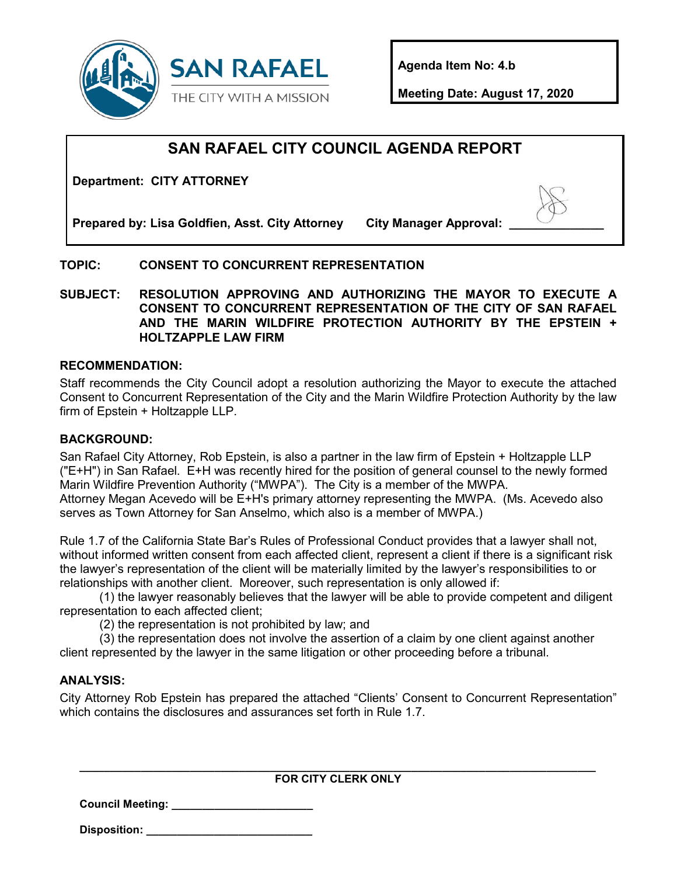

**Agenda Item No: 4.b**

**Meeting Date: August 17, 2020**

# **SAN RAFAEL CITY COUNCIL AGENDA REPORT**

**Department: CITY ATTORNEY**

Prepared by: Lisa Goldfien, Asst. City Attorney City Manager Approval:

## **TOPIC: CONSENT TO CONCURRENT REPRESENTATION**

**SUBJECT: RESOLUTION APPROVING AND AUTHORIZING THE MAYOR TO EXECUTE A CONSENT TO CONCURRENT REPRESENTATION OF THE CITY OF SAN RAFAEL AND THE MARIN WILDFIRE PROTECTION AUTHORITY BY THE EPSTEIN + HOLTZAPPLE LAW FIRM**

#### **RECOMMENDATION:**

Staff recommends the City Council adopt a resolution authorizing the Mayor to execute the attached Consent to Concurrent Representation of the City and the Marin Wildfire Protection Authority by the law firm of Epstein + Holtzapple LLP.

#### **BACKGROUND:**

San Rafael City Attorney, Rob Epstein, is also a partner in the law firm of Epstein + Holtzapple LLP ("E+H") in San Rafael. E+H was recently hired for the position of general counsel to the newly formed Marin Wildfire Prevention Authority ("MWPA"). The City is a member of the MWPA. Attorney Megan Acevedo will be E+H's primary attorney representing the MWPA. (Ms. Acevedo also serves as Town Attorney for San Anselmo, which also is a member of MWPA.)

Rule 1.7 of the California State Bar's Rules of Professional Conduct provides that a lawyer shall not, without informed written consent from each affected client, represent a client if there is a significant risk the lawyer's representation of the client will be materially limited by the lawyer's responsibilities to or relationships with another client. Moreover, such representation is only allowed if:

(1) the lawyer reasonably believes that the lawyer will be able to provide competent and diligent representation to each affected client;

(2) the representation is not prohibited by law; and

(3) the representation does not involve the assertion of a claim by one client against another client represented by the lawyer in the same litigation or other proceeding before a tribunal.

#### **ANALYSIS:**

City Attorney Rob Epstein has prepared the attached "Clients' Consent to Concurrent Representation" which contains the disclosures and assurances set forth in Rule 1.7.

**\_\_\_\_\_\_\_\_\_\_\_\_\_\_\_\_\_\_\_\_\_\_\_\_\_\_\_\_\_\_\_\_\_\_\_\_\_\_\_\_\_\_\_\_\_\_\_\_\_\_\_\_\_\_\_\_\_\_\_\_\_\_\_\_\_\_\_\_\_\_\_\_\_\_\_\_\_\_\_\_\_\_\_\_ FOR CITY CLERK ONLY**

**Council Meeting: \_\_\_\_\_\_\_\_\_\_\_\_\_\_\_\_\_\_\_\_\_\_\_**

**Disposition: \_\_\_\_\_\_\_\_\_\_\_\_\_\_\_\_\_\_\_\_\_\_\_\_\_\_\_**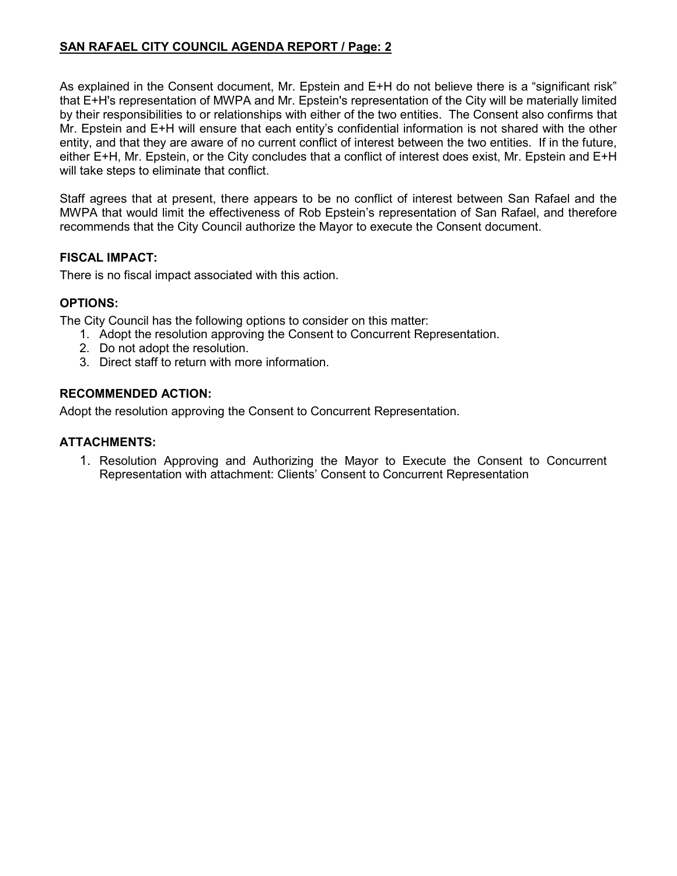# **SAN RAFAEL CITY COUNCIL AGENDA REPORT / Page: 2**

As explained in the Consent document, Mr. Epstein and E+H do not believe there is a "significant risk" that E+H's representation of MWPA and Mr. Epstein's representation of the City will be materially limited by their responsibilities to or relationships with either of the two entities. The Consent also confirms that Mr. Epstein and E+H will ensure that each entity's confidential information is not shared with the other entity, and that they are aware of no current conflict of interest between the two entities. If in the future, either E+H, Mr. Epstein, or the City concludes that a conflict of interest does exist, Mr. Epstein and E+H will take steps to eliminate that conflict.

Staff agrees that at present, there appears to be no conflict of interest between San Rafael and the MWPA that would limit the effectiveness of Rob Epstein's representation of San Rafael, and therefore recommends that the City Council authorize the Mayor to execute the Consent document.

### **FISCAL IMPACT:**

There is no fiscal impact associated with this action.

#### **OPTIONS:**

The City Council has the following options to consider on this matter:

- 1. Adopt the resolution approving the Consent to Concurrent Representation.
- 2. Do not adopt the resolution.
- 3. Direct staff to return with more information.

#### **RECOMMENDED ACTION:**

Adopt the resolution approving the Consent to Concurrent Representation.

#### **ATTACHMENTS:**

1. Resolution Approving and Authorizing the Mayor to Execute the Consent to Concurrent Representation with attachment: Clients' Consent to Concurrent Representation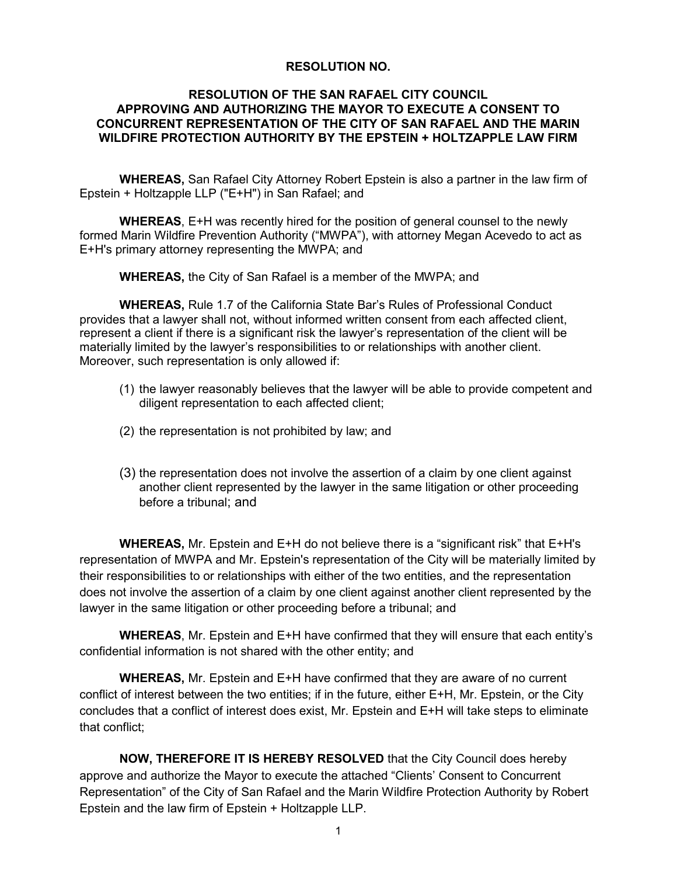#### **RESOLUTION NO.**

#### **RESOLUTION OF THE SAN RAFAEL CITY COUNCIL APPROVING AND AUTHORIZING THE MAYOR TO EXECUTE A CONSENT TO CONCURRENT REPRESENTATION OF THE CITY OF SAN RAFAEL AND THE MARIN WILDFIRE PROTECTION AUTHORITY BY THE EPSTEIN + HOLTZAPPLE LAW FIRM**

**WHEREAS,** San Rafael City Attorney Robert Epstein is also a partner in the law firm of Epstein + Holtzapple LLP ("E+H") in San Rafael; and

**WHEREAS**, E+H was recently hired for the position of general counsel to the newly formed Marin Wildfire Prevention Authority ("MWPA"), with attorney Megan Acevedo to act as E+H's primary attorney representing the MWPA; and

**WHEREAS,** the City of San Rafael is a member of the MWPA; and

**WHEREAS,** Rule 1.7 of the California State Bar's Rules of Professional Conduct provides that a lawyer shall not, without informed written consent from each affected client, represent a client if there is a significant risk the lawyer's representation of the client will be materially limited by the lawyer's responsibilities to or relationships with another client. Moreover, such representation is only allowed if:

- (1) the lawyer reasonably believes that the lawyer will be able to provide competent and diligent representation to each affected client;
- (2) the representation is not prohibited by law; and
- (3) the representation does not involve the assertion of a claim by one client against another client represented by the lawyer in the same litigation or other proceeding before a tribunal; and

**WHEREAS,** Mr. Epstein and E+H do not believe there is a "significant risk" that E+H's representation of MWPA and Mr. Epstein's representation of the City will be materially limited by their responsibilities to or relationships with either of the two entities, and the representation does not involve the assertion of a claim by one client against another client represented by the lawyer in the same litigation or other proceeding before a tribunal; and

**WHEREAS**, Mr. Epstein and E+H have confirmed that they will ensure that each entity's confidential information is not shared with the other entity; and

**WHEREAS,** Mr. Epstein and E+H have confirmed that they are aware of no current conflict of interest between the two entities; if in the future, either E+H, Mr. Epstein, or the City concludes that a conflict of interest does exist, Mr. Epstein and E+H will take steps to eliminate that conflict;

**NOW, THEREFORE IT IS HEREBY RESOLVED** that the City Council does hereby approve and authorize the Mayor to execute the attached "Clients' Consent to Concurrent Representation" of the City of San Rafael and the Marin Wildfire Protection Authority by Robert Epstein and the law firm of Epstein + Holtzapple LLP.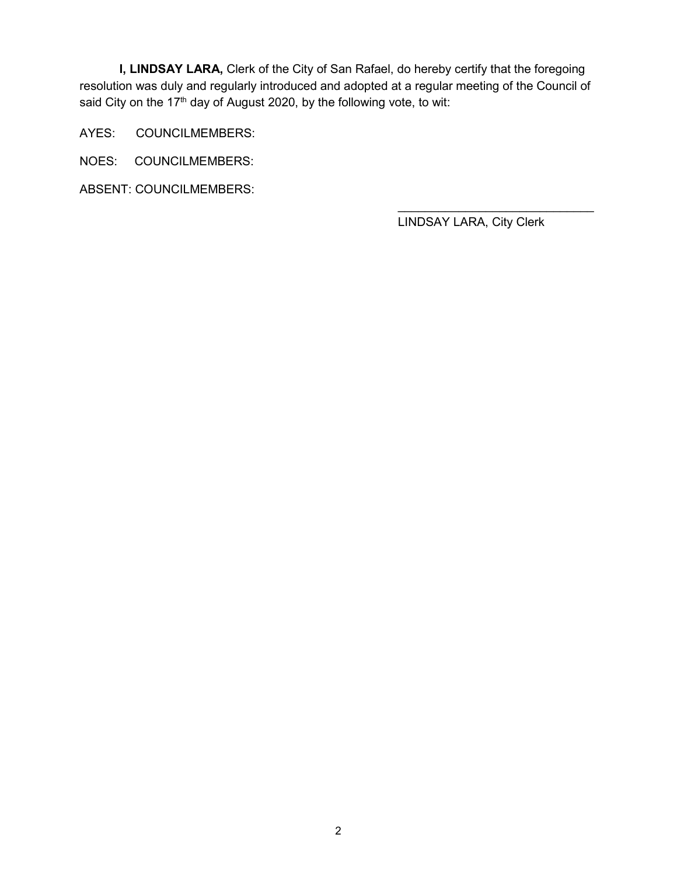**I, LINDSAY LARA,** Clerk of the City of San Rafael, do hereby certify that the foregoing resolution was duly and regularly introduced and adopted at a regular meeting of the Council of said City on the 17<sup>th</sup> day of August 2020, by the following vote, to wit:

AYES: COUNCILMEMBERS:

NOES: COUNCILMEMBERS:

ABSENT: COUNCILMEMBERS:

LINDSAY LARA, City Clerk

 $\overline{\phantom{a}}$  , where  $\overline{\phantom{a}}$  , where  $\overline{\phantom{a}}$  , where  $\overline{\phantom{a}}$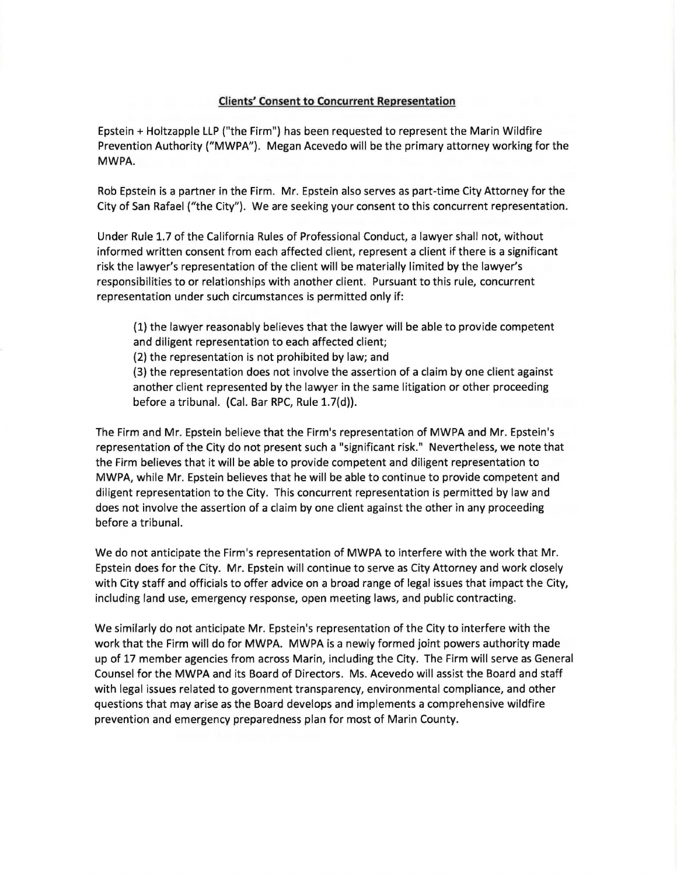#### **Clients' Consent to Concurrent Representation**

Epstein+ Holtzapple LLP ("the Firm") has been requested to represent the Marin Wildfire Prevention Authority ("MWPA"). Megan Acevedo will be the primary attorney working for the **MWPA.** 

Rob Epstein is a partner in the Firm. Mr. Epstein also serves as part-time City Attorney for the City of San Rafael ("the City"). We are seeking your consent to this concurrent representation.

Under Rule 1. 7 of the California Rules of Professional Conduct, a lawyer shall not, without informed written consent from each affected client, represent a client if there is a significant risk the lawyer's representation of the client will be materially limited by the lawyer's responsibilities to or relationships with another client. Pursuant to this rule, concurrent representation under such circumstances is permitted only if:

(1) the lawyer reasonably believes that the lawyer will be able to provide competent and diligent representation to each affected client;

(2) the representation is not prohibited by law; and

(3) the representation does not involve the assertion of a claim by one client against another client represented by the lawyer in the same litigation or other proceeding before a tribunal. (Cal. Bar RPC, Rule 1.7(d)).

The Firm and Mr. Epstein believe that the Firm's representation of MWPA and Mr. Epstein's representation of the City do not present such a "significant risk." Nevertheless, we note that the Firm believes that it will be able to provide competent and diligent representation to MWPA, while Mr. Epstein believes that he will be able to continue to provide competent and diligent representation to the City. This concurrent representation is permitted by law and does not involve the assertion of a claim by one client against the other in any proceeding before a tribunal.

We do not anticipate the Firm's representation of **MWPA** to interfere with the work that Mr. Epstein does for the City. Mr. Epstein will continue to serve as City Attorney and work closely with City staff and officials to offer advice on a broad range of legal issues that impact the City, including land use, emergency response, open meeting laws, and public contracting.

We similarly do not anticipate Mr. Epstein's representation of the City to interfere with the work that the Firm will do for MWPA. MWPA is a newly formed joint powers authority made up of 17 member agencies from across Marin, including the City. The Firm will serve as General Counsel for the MWPA and its Board of Directors. Ms. Acevedo will assist the Board and staff with legal issues related to government transparency, environmental compliance, and other questions that may arise as the Board develops and implements a comprehensive wildfire prevention and emergency preparedness plan for most of Marin County.